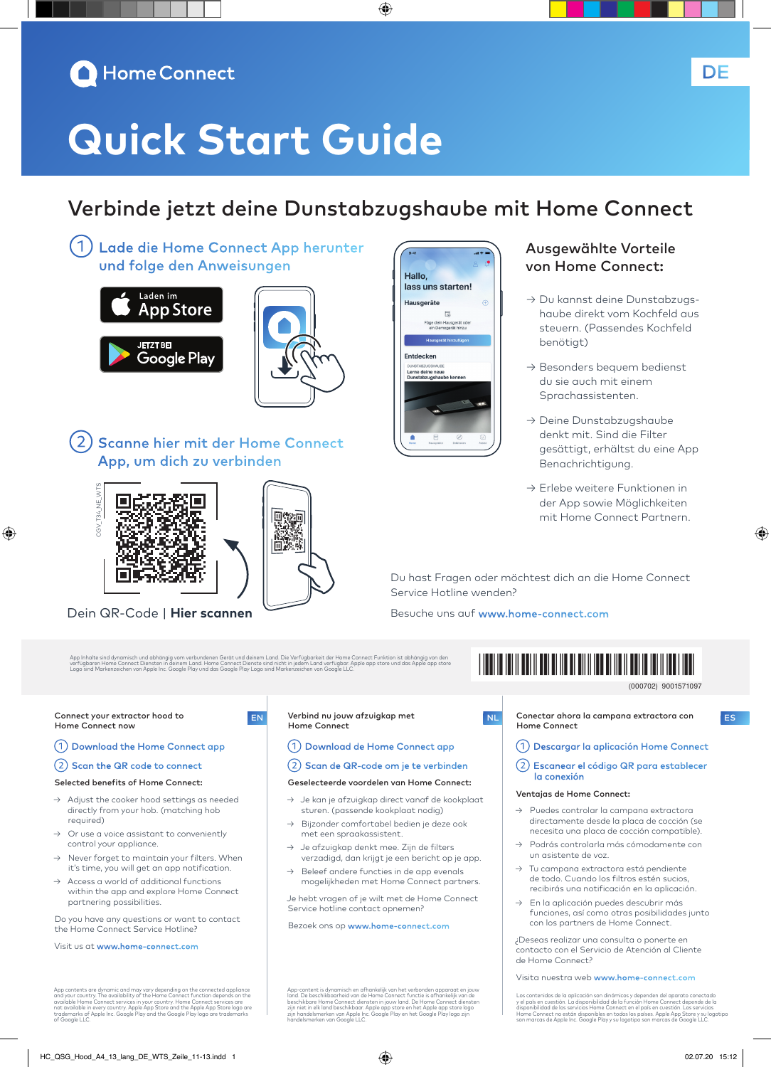### **A** Home Connect

# **Quick Start Guide**

### Verbinde jetzt deine Dunstabzugshaube mit Home Connect

◈

①Lade die Home Connect App herunter und folge den Anweisungen





2) Scanne hier mit der Home Connect App, um dich zu verbinden





**Hallo** lass uns starten! Hausgeräte  $\mathbb{R}$ Füge dein Hausgerät ode<br>ein Demogerät hinzu Entdecken Lerne deine neue<br>Dunstabzugshaub

#### Ausgewählte Vorteile von Home Connect:

- → Du kannst deine Dunstabzugshaube direkt vom Kochfeld aus steuern. (Passendes Kochfeld benötigt)
- → Besonders bequem bedienst du sie auch mit einem Sprachassistenten.
- → Deine Dunstabzugshaube denkt mit. Sind die Filter gesättigt, erhältst du eine App Benachrichtigung.
- → Erlebe weitere Funktionen in der App sowie Möglichkeiten mit Home Connect Partnern.

Du hast Fragen oder möchtest dich an die Home Connect Service Hotline wenden?

Besuche uns auf www.home-connect.com

App Inhalte sind dynamisch und abhängig vom verbundenen Gerät und deinem Land. Die Verfügbarkeit der Home Connect Funktion ist abhängig von den<br>verfügbaren Home Connect Diensten in deinem Land. Home Connect Dienste sind ni

## <u>\*9001571097110971109711097110</u>

9001571097 (000702)

◈

Connect your extractor hood to Home Connect now

⊕

#### ①Download the Home Connect app

#### ②Scan the QR code to connect

#### Selected benefits of Home Connect:

- → Adjust the cooker hood settings as needed directly from your hob. (matching hob required)
- $\rightarrow$  Or use a voice assistant to conveniently control your appliance.
- → Never forget to maintain your filters. When it's time, you will get an app notification.
- Access a world of additional functions within the app and explore Home Connect partnering possibilities.

Do you have any questions or want to contact the Home Connect Service Hotline?

Visit us at www.home-connect.com

App contents are dynamic and may vary depending on the connected appliance<br>and your country. The availability of the Home Connect function depends on the<br>available Home Connect services in your country. Home Connect servic

#### EN Verbind nu jouw afzuigkap met NL Conectar ahora la campana extractora con ES Home Connect

#### ①Download de Home Connect app

#### ②Scan de QR-code om je te verbinden

#### Geselecteerde voordelen van Home Connect:

- $\rightarrow$  Je kan je afzuigkap direct vanaf de kookplaat sturen. (passende kookplaat nodig)
- → Bijzonder comfortabel bedien je deze ook met een spraakassistent.
- Je afzuigkap denkt mee. Zijn de filters verzadigd, dan krijgt je een bericht op je app.
- Beleef andere functies in de app evenals mogelijkheden met Home Connect partners.

Je hebt vragen of je wilt met de Home Connect Service hotline contact opnemen?

Bezoek ons op www.home-connect.com

App-content is dynamisch en afhankelijk van het verbonden apparaat en jouw<br>land. De beschikbaarheid van de Home Connect functie is afhankelijk van de<br>beschikbare Home Connect diensten in jouw land. De Home Connect diensten



- ①Descargar la aplicación Home Connect
- ②Escanear el código QR para establecer la conexión

#### Ventajas de Home Connect:

- Puedes controlar la campana extractora directamente desde la placa de cocción (se necesita una placa de cocción compatible).
- → Podrás controlarla más cómodamente con un asistente de voz.
- → Tu campana extractora está pendiente de todo. Cuando los filtros estén sucios, recibirás una notificación en la aplicación.
- En la aplicación puedes descubrir más funciones, así como otras posibilidades junto con los partners de Home Connect.

¿Deseas realizar una consulta o ponerte en contacto con el Servicio de Atención al Cliente de Home Connect?

Visita nuestra web www.home-connect.com

Los contenidos de la aplicación son dinámicos y dependen del aparato conectado<br>y el país en cuestión. La disponibilidad de la función Home Connect depende de la<br>disponibilidad de los servicios Home Connect en el país en cu

Home Connect